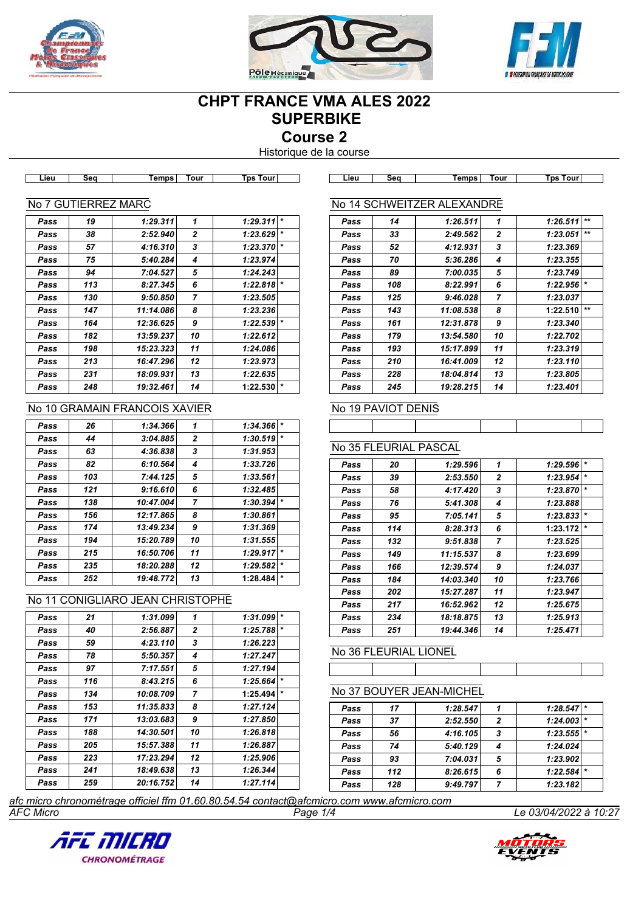





# **CHPT FRANCE VMA ALES 2022 SUPERBIKE Course 2**

Historique de la course

| .ieu | sea | emps | . our | ⊺ດuri<br>ັຕຕ |  |
|------|-----|------|-------|--------------|--|
|      |     |      |       |              |  |

**Lieu Seq Temps Tour Tps Tour Lieu Seq Temps Tour Tps Tour**

#### No 7 GUTIERREZ MARC

| Pass | 19  | 1:29.311  | 1            | 1:29.311 | $\star$ |
|------|-----|-----------|--------------|----------|---------|
| Pass | 38  | 2:52.940  | $\mathbf{2}$ | 1:23.629 | $\star$ |
| Pass | 57  | 4:16.310  | 3            | 1:23.370 | $\star$ |
| Pass | 75  | 5:40.284  | 4            | 1:23.974 |         |
| Pass | 94  | 7:04.527  | 5            | 1:24.243 |         |
| Pass | 113 | 8:27.345  | 6            | 1:22.818 | $\star$ |
| Pass | 130 | 9:50.850  | 7            | 1:23.505 |         |
| Pass | 147 | 11:14.086 | 8            | 1:23.236 |         |
| Pass | 164 | 12:36.625 | 9            | 1:22.539 | $\star$ |
| Pass | 182 | 13:59.237 | 10           | 1:22.612 |         |
| Pass | 198 | 15:23.323 | 11           | 1:24.086 |         |
| Pass | 213 | 16:47.296 | 12           | 1:23.973 |         |
| Pass | 231 | 18:09.931 | 13           | 1:22.635 |         |
| Pass | 248 | 19:32.461 | 14           | 1:22.530 | $\star$ |

#### No 14 SCHWEITZER ALEXANDRE *Pass 14 1:26.511 1 1:26.511 \*\* Pass 33 2:49.562 2 1:23.051 \*\* Pass 52 4:12.931 3 1:23.369 Pass 70 5:36.286 4 1:23.355 Pass 89 7:00.035 5 1:23.749 Pass 108 8:22.991 6 1:22.956 \* Pass 125 9:46.028 7 1:23.037 Pass 143 11:08.538 8* **1:22.510** *\*\* Pass 161 12:31.878 9 1:23.340 Pass 179 13:54.580 10 1:22.702 Pass 193 15:17.899 11 1:23.319 Pass 210 16:41.009 12 1:23.110 Pass 228 18:04.814 13 1:23.805 Pass 245 19:28.215 14 1:23.401*

# No 19 PAVIOT DENIS

## No 35 FLEURIAL PASCAL

| Pass | 20  | 1:29.596  | 1              | 1:29.596 |         |
|------|-----|-----------|----------------|----------|---------|
| Pass | 39  | 2:53.550  | $\mathbf{2}$   | 1:23.954 | $\star$ |
| Pass | 58  | 4:17.420  | 3              | 1:23.870 | $\star$ |
| Pass | 76  | 5:41.308  | 4              | 1:23.888 |         |
| Pass | 95  | 7:05.141  | 5              | 1:23.833 | $\star$ |
| Pass | 114 | 8:28.313  | 6              | 1:23.172 | $\star$ |
| Pass | 132 | 9:51.838  | $\overline{7}$ | 1:23.525 |         |
| Pass | 149 | 11:15.537 | 8              | 1:23.699 |         |
| Pass | 166 | 12:39.574 | 9              | 1:24.037 |         |
| Pass | 184 | 14:03.340 | 10             | 1:23.766 |         |
| Pass | 202 | 15:27.287 | 11             | 1:23.947 |         |
| Pass | 217 | 16:52.962 | 12             | 1:25.675 |         |
| Pass | 234 | 18:18.875 | 13             | 1:25.913 |         |
| Pass | 251 | 19:44.346 | 14             | 1:25.471 |         |

# No 36 FLEURIAL LIONEL

#### No 37 BOUYER JEAN-MICHEL

| Pass | 17  | 1:28.547 |   | 1:28.547     |  |
|------|-----|----------|---|--------------|--|
| Pass | 37  | 2:52.550 | 2 | 1:24.003     |  |
| Pass | 56  | 4:16.105 | 3 | $1:23.555$ * |  |
| Pass | 74  | 5:40.129 | 4 | 1:24.024     |  |
| Pass | 93  | 7:04.031 | 5 | 1:23.902     |  |
| Pass | 112 | 8:26.615 | 6 | 1:22.584     |  |
| Pass | 128 | 9:49.797 |   | 1:23.182     |  |

*AFC Micro Page 1/4 Le 03/04/2022 à 10:27 afc micro chronométrage officiel ffm 01.60.80.54.54 contact@afcmicro.com www.afcmicro.com*





## No 10 GRAMAIN FRANCOIS XAVIER

| Pass | 26  | 1:34.366  | 1              | 1:34.366 | $\star$ |
|------|-----|-----------|----------------|----------|---------|
| Pass | 44  | 3:04.885  | $\overline{2}$ | 1:30.519 | $\star$ |
| Pass | 63  | 4:36.838  | 3              | 1:31.953 |         |
| Pass | 82  | 6:10.564  | 4              | 1:33.726 |         |
| Pass | 103 | 7:44.125  | 5              | 1:33.561 |         |
| Pass | 121 | 9:16.610  | 6              | 1:32.485 |         |
| Pass | 138 | 10:47.004 | $\overline{7}$ | 1:30.394 | $\star$ |
| Pass | 156 | 12:17.865 | 8              | 1:30.861 |         |
| Pass | 174 | 13:49.234 | 9              | 1:31.369 |         |
| Pass | 194 | 15:20.789 | 10             | 1:31.555 |         |
| Pass | 215 | 16:50.706 | 11             | 1:29.917 | $\star$ |
| Pass | 235 | 18:20.288 | 12             | 1:29.582 | $\star$ |
| Pass | 252 | 19:48.772 | 13             | 1:28.484 | $\star$ |

|      |     | No 11 CONIGLIARO JEAN CHRISTOPHE |                |          |         |
|------|-----|----------------------------------|----------------|----------|---------|
| Pass | 21  | 1:31.099                         | 1              | 1:31.099 | $\star$ |
| Pass | 40  | 2:56.887                         | $\mathbf{2}$   | 1:25.788 | $\star$ |
| Pass | 59  | 4:23.110                         | 3              | 1:26.223 |         |
| Pass | 78  | 5:50.357                         | 4              | 1:27.247 |         |
| Pass | 97  | 7:17.551                         | 5              | 1:27.194 |         |
| Pass | 116 | 8:43.215                         | 6              | 1:25.664 | $\star$ |
| Pass | 134 | 10:08.709                        | $\overline{ }$ | 1:25.494 | $\star$ |
| Pass | 153 | 11:35.833                        | 8              | 1:27.124 |         |
| Pass | 171 | 13:03.683                        | 9              | 1:27.850 |         |
| Pass | 188 | 14:30.501                        | 10             | 1:26.818 |         |
| Pass | 205 | 15:57.388                        | 11             | 1:26.887 |         |
| Pass | 223 | 17:23.294                        | 12             | 1:25.906 |         |
| Pass | 241 | 18:49.638                        | 13             | 1:26.344 |         |

*Pass 259 20:16.752 14 1:27.114*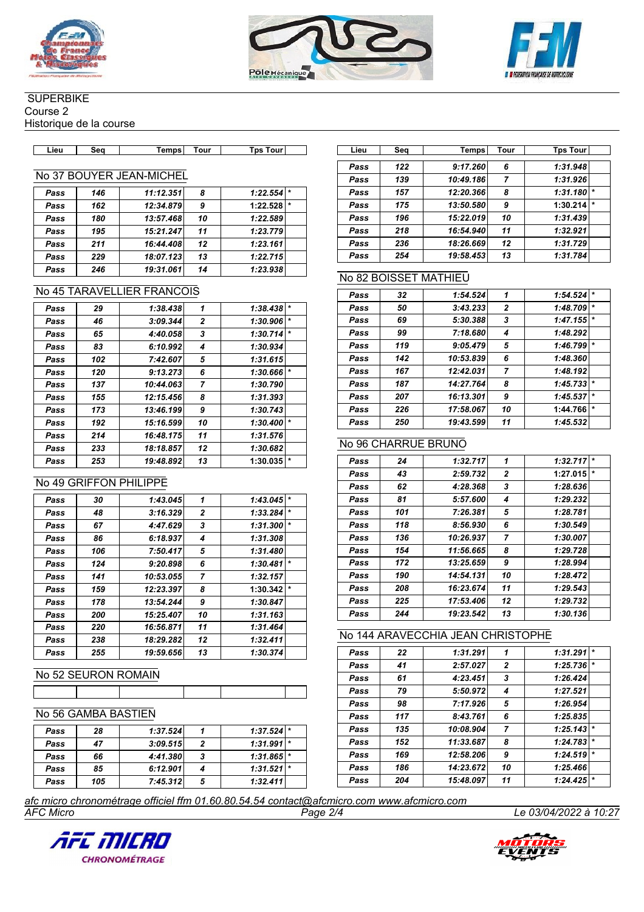





## **SUPERBIKE**

Course 2

Historique de la course

| _ieu | Sec | <b>Temps</b> | Tour | Tour<br>Гps | ∟ieư | s.,<br>ou | <b>Temps</b> | Tour | <b>T</b> DS<br><b>TOUT</b> |
|------|-----|--------------|------|-------------|------|-----------|--------------|------|----------------------------|

# No 37 BOUYER JEAN-MICHEL

| Pass | 146 | 11:12.351 | 8  | 1:22.554 |        |
|------|-----|-----------|----|----------|--------|
| Pass | 162 | 12:34.879 | 9  | 1:22.528 | $\ast$ |
| Pass | 180 | 13:57.468 | 10 | 1:22.589 |        |
| Pass | 195 | 15:21.247 | 11 | 1:23.779 |        |
| Pass | 211 | 16:44.408 | 12 | 1:23.161 |        |
| Pass | 229 | 18:07.123 | 13 | 1:22.715 |        |
| Pass | 246 | 19:31.061 | 14 | 1:23.938 |        |

## No 45 TARAVELLIER FRANCOIS

| Pass | 29  | 1:38.438  | 1  | 1:38.438 |         |
|------|-----|-----------|----|----------|---------|
| Pass | 46  | 3:09.344  | 2  | 1:30.906 | $\star$ |
| Pass | 65  | 4:40.058  | 3  | 1:30.714 | $\star$ |
| Pass | 83  | 6:10.992  | 4  | 1:30.934 |         |
| Pass | 102 | 7:42.607  | 5  | 1:31.615 |         |
| Pass | 120 | 9:13.273  | 6  | 1:30.666 | $\star$ |
| Pass | 137 | 10:44.063 | 7  | 1:30.790 |         |
| Pass | 155 | 12:15.456 | 8  | 1:31.393 |         |
| Pass | 173 | 13:46.199 | 9  | 1:30.743 |         |
| Pass | 192 | 15:16.599 | 10 | 1:30.400 | $\star$ |
| Pass | 214 | 16:48.175 | 11 | 1:31.576 |         |
| Pass | 233 | 18:18.857 | 12 | 1:30.682 |         |
| Pass | 253 | 19:48.892 | 13 | 1:30.035 | $\star$ |

#### No 49 GRIFFON PHILIPPE

| Pass | 30  | 1:43.045  | 1            | $\star$<br>1:43.045 |  |
|------|-----|-----------|--------------|---------------------|--|
| Pass | 48  | 3:16.329  | $\mathbf{z}$ | $\star$<br>1:33.284 |  |
| Pass | 67  | 4:47.629  | 3            | $\star$<br>1:31.300 |  |
| Pass | 86  | 6:18.937  | 4            | 1:31.308            |  |
| Pass | 106 | 7:50.417  | 5            | 1:31.480            |  |
| Pass | 124 | 9:20.898  | 6            | $\star$<br>1:30.481 |  |
| Pass | 141 | 10:53.055 | 7            | 1:32.157            |  |
| Pass | 159 | 12:23.397 | 8            | 1:30.342<br>$\star$ |  |
| Pass | 178 | 13:54.244 | 9            | 1:30.847            |  |
| Pass | 200 | 15:25.407 | 10           | 1:31.163            |  |
| Pass | 220 | 16:56.871 | 11           | 1:31.464            |  |
| Pass | 238 | 18:29.282 | 12           | 1:32.411            |  |
| Pass | 255 | 19:59.656 | 13           | 1:30.374            |  |

## No 52 SEURON ROMAIN

#### No 56 GAMBA BASTIEN

| Pass | 28  | 1:37.524 |   | $1:37.524$ * |  |
|------|-----|----------|---|--------------|--|
| Pass | 47  | 3:09.515 | 2 | $1:31.991$ * |  |
| Pass | 66  | 4:41.380 | 3 | $1:31.865$ * |  |
| Pass | 85  | 6:12.901 |   | $1:31.521$ * |  |
| Pass | 105 | 7:45.312 |   | 1:32.411     |  |

| Lieu | Seq | Temps     | Tour | Tps Tour |         |
|------|-----|-----------|------|----------|---------|
| Pass | 122 | 9:17.260  | 6    | 1:31.948 |         |
| Pass | 139 | 10:49.186 | 7    | 1:31.926 |         |
| Pass | 157 | 12:20.366 | 8    | 1:31.180 | $\star$ |
| Pass | 175 | 13:50.580 | 9    | 1:30.214 | $\star$ |
| Pass | 196 | 15:22.019 | 10   | 1:31.439 |         |
| Pass | 218 | 16:54.940 | 11   | 1:32.921 |         |
| Pass | 236 | 18:26.669 | 12   | 1:31.729 |         |
| Pass | 254 | 19:58.453 | 13   | 1:31.784 |         |

#### No 82 BOISSET MATHIEU

| Pass | 32  | 1:54.524  | 1              | 1:54.524 |         |
|------|-----|-----------|----------------|----------|---------|
| Pass | 50  | 3:43.233  | $\overline{2}$ | 1:48.709 | $\star$ |
| Pass | 69  | 5:30.388  | 3              | 1:47.155 | $\star$ |
| Pass | 99  | 7:18.680  | 4              | 1:48.292 |         |
| Pass | 119 | 9:05.479  | 5              | 1:46.799 | $\ast$  |
| Pass | 142 | 10:53.839 | 6              | 1:48.360 |         |
| Pass | 167 | 12:42.031 | $\overline{ }$ | 1:48.192 |         |
| Pass | 187 | 14:27.764 | 8              | 1:45.733 | $\ast$  |
| Pass | 207 | 16:13.301 | 9              | 1:45.537 | $\ast$  |
| Pass | 226 | 17:58.067 | 10             | 1:44.766 | $\star$ |
| Pass | 250 | 19:43.599 | 11             | 1:45.532 |         |
|      |     |           |                |          |         |

#### No 96 CHARRUE BRUNO

| Pass | 24  | 1:32.717  | 1            | 1:32.717<br>$\star$ |
|------|-----|-----------|--------------|---------------------|
| Pass | 43  | 2:59.732  | $\mathbf{2}$ | $\star$<br>1:27.015 |
| Pass | 62  | 4:28.368  | 3            | 1:28.636            |
| Pass | 81  | 5:57.600  | 4            | 1:29.232            |
| Pass | 101 | 7:26.381  | 5            | 1:28.781            |
| Pass | 118 | 8:56.930  | 6            | 1:30.549            |
| Pass | 136 | 10:26.937 | 7            | 1:30.007            |
| Pass | 154 | 11:56.665 | 8            | 1:29.728            |
| Pass | 172 | 13:25.659 | 9            | 1:28.994            |
| Pass | 190 | 14:54.131 | 10           | 1:28.472            |
| Pass | 208 | 16:23.674 | 11           | 1:29.543            |
| Pass | 225 | 17:53.406 | 12           | 1:29.732            |
| Pass | 244 | 19:23.542 | 13           | 1:30.136            |

#### No 144 ARAVECCHIA JEAN CHRISTOPHE

| Pass | 22  | 1:31.291  | 1              | 1:31.291 | $\star$ |
|------|-----|-----------|----------------|----------|---------|
| Pass | 41  | 2:57.027  | $\mathbf{2}$   | 1:25.736 | $\star$ |
| Pass | 61  | 4:23.451  | 3              | 1:26.424 |         |
| Pass | 79  | 5:50.972  | 4              | 1:27.521 |         |
| Pass | 98  | 7:17.926  | 5              | 1:26.954 |         |
| Pass | 117 | 8:43.761  | 6              | 1:25.835 |         |
| Pass | 135 | 10:08.904 | $\overline{7}$ | 1:25.143 | $\star$ |
| Pass | 152 | 11:33.687 | 8              | 1:24.783 | $\star$ |
| Pass | 169 | 12:58.206 | 9              | 1:24.519 | $\star$ |
| Pass | 186 | 14:23.672 | 10             | 1:25.466 |         |
| Pass | 204 | 15:48.097 | 11             | 1:24.425 | $\star$ |

*AFC Micro Page 2/4 Le 03/04/2022 à 10:27 afc micro chronométrage officiel ffm 01.60.80.54.54 contact@afcmicro.com www.afcmicro.com*



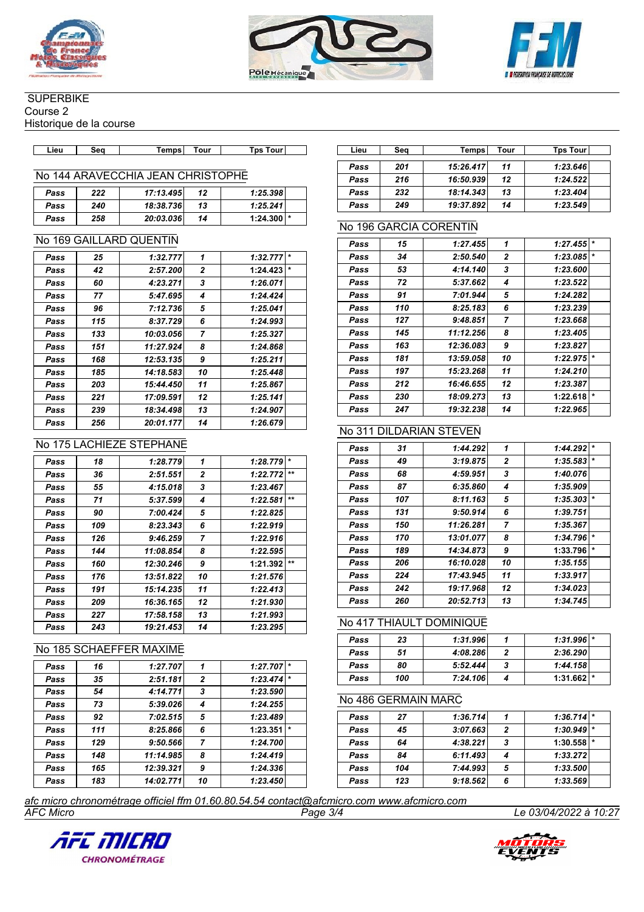





# **SUPERBIKE**

Course 2

Historique de la course

| Lieu | Sea | Temps | Tour | Tps Tour I |
|------|-----|-------|------|------------|

## No 144 ARAVECCHIA JEAN CHRISTOPHE

| Pass | 222 | 17:13.495 | 12 | 1:25.398     |  |
|------|-----|-----------|----|--------------|--|
| Pass | 240 | 18:38.736 | 13 | 1:25.241     |  |
| Pass | 258 | 20:03.036 | 14 | $1:24.300$ * |  |

#### No 169 GAILLARD QUENTIN

| Pass | 25  | 1:32.777  | 1            | $\star$<br>1:32.777 |
|------|-----|-----------|--------------|---------------------|
| Pass | 42  | 2:57.200  | $\mathbf{2}$ | $\star$<br>1:24.423 |
| Pass | 60  | 4:23.271  | 3            | 1:26.071            |
| Pass | 77  | 5:47.695  | 4            | 1:24.424            |
| Pass | 96  | 7:12.736  | 5            | 1:25.041            |
| Pass | 115 | 8:37.729  | 6            | 1:24.993            |
| Pass | 133 | 10:03.056 | 7            | 1:25.327            |
| Pass | 151 | 11:27.924 | 8            | 1:24.868            |
| Pass | 168 | 12:53.135 | 9            | 1:25.211            |
| Pass | 185 | 14:18.583 | 10           | 1:25.448            |
| Pass | 203 | 15:44.450 | 11           | 1:25.867            |
| Pass | 221 | 17:09.591 | 12           | 1:25.141            |
| Pass | 239 | 18:34.498 | 13           | 1:24.907            |
| Pass | 256 | 20:01.177 | 14           | 1:26.679            |

#### No 175 LACHIEZE STEPHANE

| Pass | 18  | 1:28.779  | 1  | 1:28.779 | $\star$      |
|------|-----|-----------|----|----------|--------------|
| Pass | 36  | 2:51.551  | 2  | 1:22.772 | $***$        |
| Pass | 55  | 4:15.018  | 3  | 1:23.467 |              |
| Pass | 71  | 5:37.599  | 4  | 1:22.581 | $\star\star$ |
| Pass | 90  | 7:00.424  | 5  | 1:22.825 |              |
| Pass | 109 | 8:23.343  | 6  | 1:22.919 |              |
| Pass | 126 | 9:46.259  | 7  | 1:22.916 |              |
| Pass | 144 | 11:08.854 | 8  | 1:22.595 |              |
| Pass | 160 | 12:30.246 | 9  | 1:21.392 | $***$        |
| Pass | 176 | 13:51.822 | 10 | 1:21.576 |              |
| Pass | 191 | 15:14.235 | 11 | 1:22.413 |              |
| Pass | 209 | 16:36.165 | 12 | 1:21.930 |              |
| Pass | 227 | 17:58.158 | 13 | 1:21.993 |              |
| Pass | 243 | 19:21.453 | 14 | 1:23.295 |              |

# No 185 SCHAEFFER MAXIME

| Pass | 16  | 1:27.707  | 1              | 1:27.707 | $\star$ |
|------|-----|-----------|----------------|----------|---------|
| Pass | 35  | 2:51.181  | $\overline{2}$ | 1:23.474 | $\star$ |
| Pass | 54  | 4:14.771  | 3              | 1:23.590 |         |
| Pass | 73  | 5:39.026  | 4              | 1:24.255 |         |
| Pass | 92  | 7:02.515  | 5              | 1:23.489 |         |
| Pass | 111 | 8:25.866  | 6              | 1:23.351 | $\star$ |
| Pass | 129 | 9:50.566  | 7              | 1:24.700 |         |
| Pass | 148 | 11:14.985 | 8              | 1:24.419 |         |
| Pass | 165 | 12:39.321 | 9              | 1:24.336 |         |
| Pass | 183 | 14:02.771 | 10             | 1:23.450 |         |

| Lieu | Sea | Temps     | Tour | <b>Tps Tour</b> |
|------|-----|-----------|------|-----------------|
| Pass | 201 | 15:26.417 | 11   | 1:23.646        |
| Pass | 216 | 16:50.939 | 12   | 1:24.522        |
| Pass | 232 | 18:14.343 | 13   | 1:23.404        |
| Pass | 249 | 19:37.892 | 14   | 1:23.549        |

## No 196 GARCIA CORENTIN

| Pass | 15  | 1:27.455  | 1              | 1:27.455 | $\star$ |
|------|-----|-----------|----------------|----------|---------|
| Pass | 34  | 2:50.540  | 2              | 1:23.085 | $\star$ |
| Pass | 53  | 4:14.140  | 3              | 1:23.600 |         |
| Pass | 72  | 5:37.662  | 4              | 1:23.522 |         |
| Pass | 91  | 7:01.944  | 5              | 1:24.282 |         |
| Pass | 110 | 8:25.183  | 6              | 1:23.239 |         |
| Pass | 127 | 9:48.851  | $\overline{7}$ | 1:23.668 |         |
| Pass | 145 | 11:12.256 | 8              | 1:23.405 |         |
| Pass | 163 | 12:36.083 | 9              | 1:23.827 |         |
| Pass | 181 | 13:59.058 | 10             | 1:22.975 | $\star$ |
| Pass | 197 | 15:23.268 | 11             | 1:24.210 |         |
| Pass | 212 | 16:46.655 | 12             | 1:23.387 |         |
| Pass | 230 | 18:09.273 | 13             | 1:22.618 | $\star$ |
| Pass | 247 | 19:32.238 | 14             | 1:22.965 |         |

# No 311 DILDARIAN STEVEN

| Pass | 31  | 1:44.292  | 1              | 1:44.292 |         |
|------|-----|-----------|----------------|----------|---------|
| Pass | 49  | 3:19.875  | $\mathbf{2}$   | 1:35.583 | $\star$ |
| Pass | 68  | 4:59.951  | 3              | 1:40.076 |         |
| Pass | 87  | 6:35.860  | 4              | 1:35.909 |         |
| Pass | 107 | 8:11.163  | 5              | 1:35.303 | $\ast$  |
| Pass | 131 | 9:50.914  | 6              | 1:39.751 |         |
| Pass | 150 | 11:26.281 | $\overline{7}$ | 1:35.367 |         |
| Pass | 170 | 13:01.077 | 8              | 1:34.796 | $\ast$  |
| Pass | 189 | 14:34.873 | 9              | 1:33.796 | $\star$ |
| Pass | 206 | 16:10.028 | 10             | 1:35.155 |         |
| Pass | 224 | 17:43.945 | 11             | 1:33.917 |         |
| Pass | 242 | 19:17.968 | 12             | 1:34.023 |         |
| Pass | 260 | 20:52.713 | 13             | 1:34.745 |         |
|      |     |           |                |          |         |

# No 417 THIAULT DOMINIQUE

| Pass | 23  | 1:31.996 | $1:31.996$ * |  |
|------|-----|----------|--------------|--|
| Pass | 51  | 4:08.286 | 2:36.290     |  |
| Pass | 80  | 5:52.444 | 1:44.158     |  |
| Pass | 100 | 7:24.106 | $1:31.662$ * |  |

# No 486 GERMAIN MARC

| Pass | 27  | 1:36.714 |   | 1:36.714 |  |
|------|-----|----------|---|----------|--|
| Pass | 45  | 3:07.663 | 2 | 1:30.949 |  |
| Pass | 64  | 4:38.221 | 3 | 1:30.558 |  |
| Pass | 84  | 6:11.493 |   | 1:33.272 |  |
| Pass | 104 | 7:44.993 | 5 | 1:33.500 |  |
| Pass | 123 | 9:18.562 | 6 | 1:33.569 |  |

*AFC Micro Page 3/4 Le 03/04/2022 à 10:27 afc micro chronométrage officiel ffm 01.60.80.54.54 contact@afcmicro.com www.afcmicro.com*